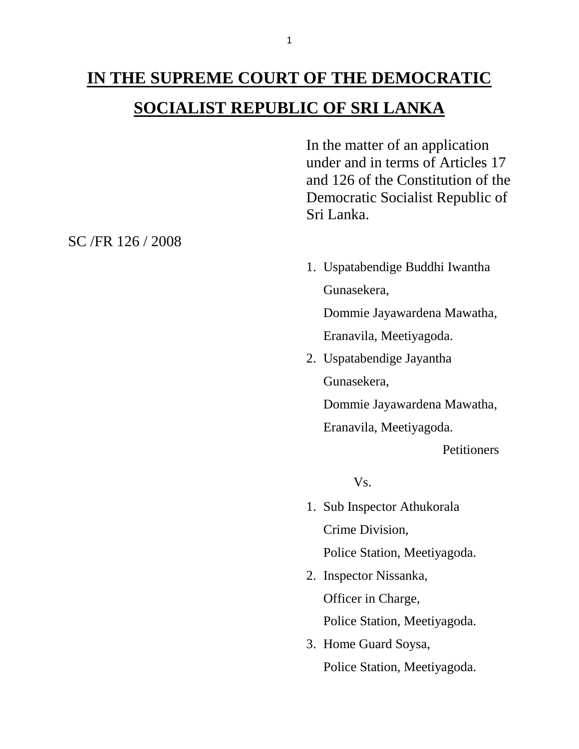## **IN THE SUPREME COURT OF THE DEMOCRATIC SOCIALIST REPUBLIC OF SRI LANKA**

In the matter of an application under and in terms of Articles 17 and 126 of the Constitution of the Democratic Socialist Republic of Sri Lanka.

1. Uspatabendige Buddhi Iwantha Gunasekera,

Dommie Jayawardena Mawatha,

Eranavila, Meetiyagoda.

2. Uspatabendige Jayantha Gunasekera,

Dommie Jayawardena Mawatha,

Eranavila, Meetiyagoda.

**Petitioners** 

Vs.

1. Sub Inspector Athukorala Crime Division,

Police Station, Meetiyagoda.

2. Inspector Nissanka, Officer in Charge,

Police Station, Meetiyagoda.

3. Home Guard Soysa, Police Station, Meetiyagoda.

SC /FR 126 / 2008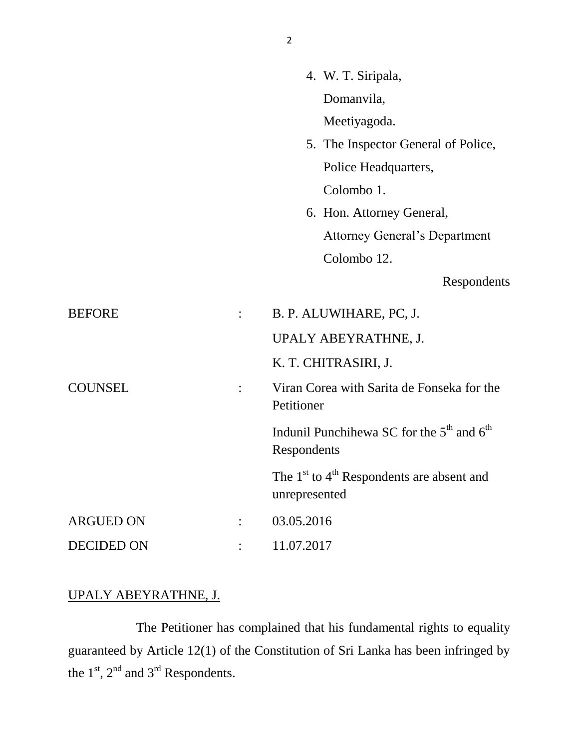|                   |                | 4. W. T. Siripala,                                                               |
|-------------------|----------------|----------------------------------------------------------------------------------|
|                   |                | Domanvila,                                                                       |
|                   |                | Meetiyagoda.                                                                     |
|                   |                | 5. The Inspector General of Police,                                              |
|                   |                | Police Headquarters,                                                             |
|                   |                | Colombo 1.                                                                       |
|                   |                | 6. Hon. Attorney General,                                                        |
|                   |                | <b>Attorney General's Department</b>                                             |
|                   |                | Colombo 12.                                                                      |
|                   |                | Respondents                                                                      |
| <b>BEFORE</b>     | $\ddot{\cdot}$ | B. P. ALUWIHARE, PC, J.                                                          |
|                   |                | UPALY ABEYRATHNE, J.                                                             |
|                   |                | K. T. CHITRASIRI, J.                                                             |
| <b>COUNSEL</b>    | $\ddot{\cdot}$ | Viran Corea with Sarita de Fonseka for the<br>Petitioner                         |
|                   |                | Indunil Punchihewa SC for the 5 <sup>th</sup> and 6 <sup>th</sup><br>Respondents |
|                   |                | The $1st$ to $4th$ Respondents are absent and<br>unrepresented                   |
| <b>ARGUED ON</b>  |                | 03.05.2016                                                                       |
| <b>DECIDED ON</b> |                | 11.07.2017                                                                       |
|                   |                |                                                                                  |

## UPALY ABEYRATHNE, J.

The Petitioner has complained that his fundamental rights to equality guaranteed by Article 12(1) of the Constitution of Sri Lanka has been infringed by the  $1<sup>st</sup>$ ,  $2<sup>nd</sup>$  and  $3<sup>rd</sup>$  Respondents.

2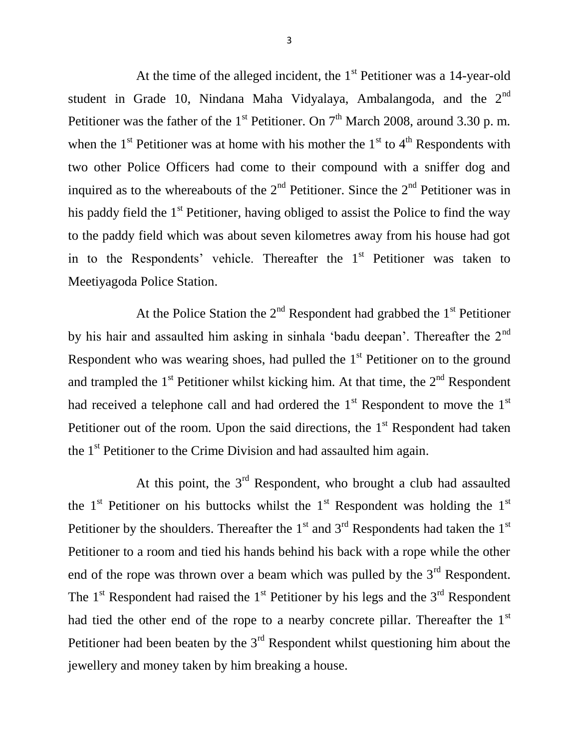At the time of the alleged incident, the  $1<sup>st</sup>$  Petitioner was a 14-year-old student in Grade 10, Nindana Maha Vidyalaya, Ambalangoda, and the 2<sup>nd</sup> Petitioner was the father of the 1<sup>st</sup> Petitioner. On  $7<sup>th</sup>$  March 2008, around 3.30 p.m. when the  $1<sup>st</sup>$  Petitioner was at home with his mother the  $1<sup>st</sup>$  to  $4<sup>th</sup>$  Respondents with two other Police Officers had come to their compound with a sniffer dog and inquired as to the whereabouts of the  $2<sup>nd</sup>$  Petitioner. Since the  $2<sup>nd</sup>$  Petitioner was in his paddy field the  $1<sup>st</sup>$  Petitioner, having obliged to assist the Police to find the way to the paddy field which was about seven kilometres away from his house had got in to the Respondents' vehicle. Thereafter the 1<sup>st</sup> Petitioner was taken to Meetiyagoda Police Station.

At the Police Station the  $2<sup>nd</sup>$  Respondent had grabbed the  $1<sup>st</sup>$  Petitioner by his hair and assaulted him asking in sinhala 'badu deepan'. Thereafter the  $2<sup>nd</sup>$ Respondent who was wearing shoes, had pulled the  $1<sup>st</sup>$  Petitioner on to the ground and trampled the  $1<sup>st</sup>$  Petitioner whilst kicking him. At that time, the  $2<sup>nd</sup>$  Respondent had received a telephone call and had ordered the  $1<sup>st</sup>$  Respondent to move the  $1<sup>st</sup>$ Petitioner out of the room. Upon the said directions, the  $1<sup>st</sup>$  Respondent had taken the 1<sup>st</sup> Petitioner to the Crime Division and had assaulted him again.

At this point, the  $3<sup>rd</sup>$  Respondent, who brought a club had assaulted the 1<sup>st</sup> Petitioner on his buttocks whilst the 1<sup>st</sup> Respondent was holding the 1<sup>st</sup> Petitioner by the shoulders. Thereafter the  $1<sup>st</sup>$  and  $3<sup>rd</sup>$  Respondents had taken the  $1<sup>st</sup>$ Petitioner to a room and tied his hands behind his back with a rope while the other end of the rope was thrown over a beam which was pulled by the  $3<sup>rd</sup>$  Respondent. The  $1<sup>st</sup>$  Respondent had raised the  $1<sup>st</sup>$  Petitioner by his legs and the  $3<sup>rd</sup>$  Respondent had tied the other end of the rope to a nearby concrete pillar. Thereafter the 1<sup>st</sup> Petitioner had been beaten by the  $3<sup>rd</sup>$  Respondent whilst questioning him about the jewellery and money taken by him breaking a house.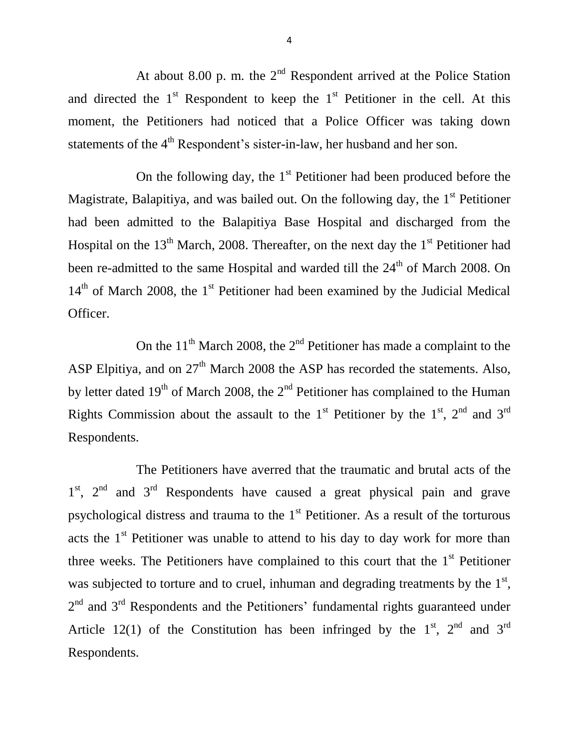At about 8.00 p. m. the  $2<sup>nd</sup>$  Respondent arrived at the Police Station and directed the  $1<sup>st</sup>$  Respondent to keep the  $1<sup>st</sup>$  Petitioner in the cell. At this moment, the Petitioners had noticed that a Police Officer was taking down statements of the 4<sup>th</sup> Respondent's sister-in-law, her husband and her son.

On the following day, the  $1<sup>st</sup>$  Petitioner had been produced before the Magistrate, Balapitiya, and was bailed out. On the following day, the  $1<sup>st</sup>$  Petitioner had been admitted to the Balapitiya Base Hospital and discharged from the Hospital on the  $13<sup>th</sup>$  March, 2008. Thereafter, on the next day the  $1<sup>st</sup>$  Petitioner had been re-admitted to the same Hospital and warded till the 24<sup>th</sup> of March 2008. On  $14<sup>th</sup>$  of March 2008, the 1<sup>st</sup> Petitioner had been examined by the Judicial Medical Officer.

On the  $11<sup>th</sup>$  March 2008, the  $2<sup>nd</sup>$  Petitioner has made a complaint to the ASP Elpitiya, and on  $27<sup>th</sup>$  March 2008 the ASP has recorded the statements. Also, by letter dated  $19<sup>th</sup>$  of March 2008, the  $2<sup>nd</sup>$  Petitioner has complained to the Human Rights Commission about the assault to the 1<sup>st</sup> Petitioner by the 1<sup>st</sup>, 2<sup>nd</sup> and 3<sup>rd</sup> Respondents.

The Petitioners have averred that the traumatic and brutal acts of the 1<sup>st</sup>, 2<sup>nd</sup> and 3<sup>rd</sup> Respondents have caused a great physical pain and grave psychological distress and trauma to the  $1<sup>st</sup>$  Petitioner. As a result of the torturous acts the  $1<sup>st</sup>$  Petitioner was unable to attend to his day to day work for more than three weeks. The Petitioners have complained to this court that the  $1<sup>st</sup>$  Petitioner was subjected to torture and to cruel, inhuman and degrading treatments by the  $1<sup>st</sup>$ ,  $2<sup>nd</sup>$  and  $3<sup>rd</sup>$  Respondents and the Petitioners' fundamental rights guaranteed under Article 12(1) of the Constitution has been infringed by the  $1<sup>st</sup>$ ,  $2<sup>nd</sup>$  and  $3<sup>rd</sup>$ Respondents.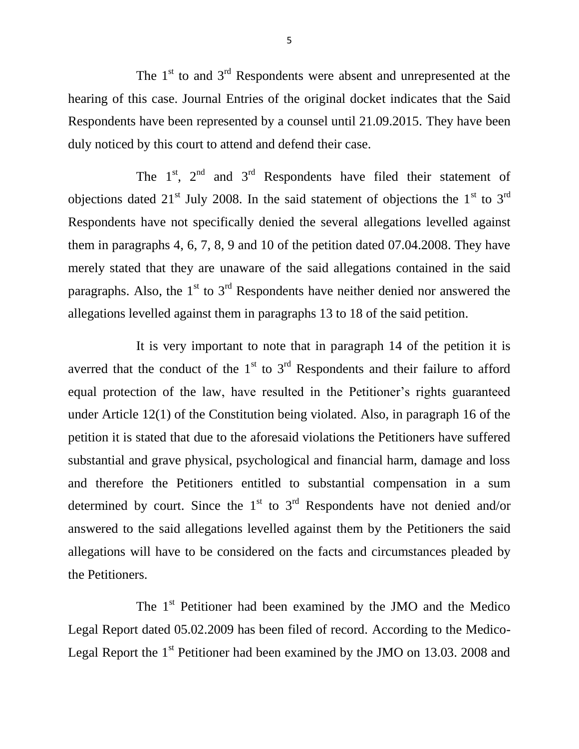The  $1<sup>st</sup>$  to and  $3<sup>rd</sup>$  Respondents were absent and unrepresented at the hearing of this case. Journal Entries of the original docket indicates that the Said Respondents have been represented by a counsel until 21.09.2015. They have been duly noticed by this court to attend and defend their case.

The  $1<sup>st</sup>$ ,  $2<sup>nd</sup>$  and  $3<sup>rd</sup>$  Respondents have filed their statement of objections dated  $21^{st}$  July 2008. In the said statement of objections the  $1^{st}$  to  $3^{rd}$ Respondents have not specifically denied the several allegations levelled against them in paragraphs 4, 6, 7, 8, 9 and 10 of the petition dated 07.04.2008. They have merely stated that they are unaware of the said allegations contained in the said paragraphs. Also, the  $1<sup>st</sup>$  to  $3<sup>rd</sup>$  Respondents have neither denied nor answered the allegations levelled against them in paragraphs 13 to 18 of the said petition.

It is very important to note that in paragraph 14 of the petition it is averred that the conduct of the  $1<sup>st</sup>$  to  $3<sup>rd</sup>$  Respondents and their failure to afford equal protection of the law, have resulted in the Petitioner's rights guaranteed under Article 12(1) of the Constitution being violated. Also, in paragraph 16 of the petition it is stated that due to the aforesaid violations the Petitioners have suffered substantial and grave physical, psychological and financial harm, damage and loss and therefore the Petitioners entitled to substantial compensation in a sum determined by court. Since the  $1<sup>st</sup>$  to  $3<sup>rd</sup>$  Respondents have not denied and/or answered to the said allegations levelled against them by the Petitioners the said allegations will have to be considered on the facts and circumstances pleaded by the Petitioners.

The 1<sup>st</sup> Petitioner had been examined by the JMO and the Medico Legal Report dated 05.02.2009 has been filed of record. According to the Medico-Legal Report the  $1<sup>st</sup>$  Petitioner had been examined by the JMO on 13.03. 2008 and

5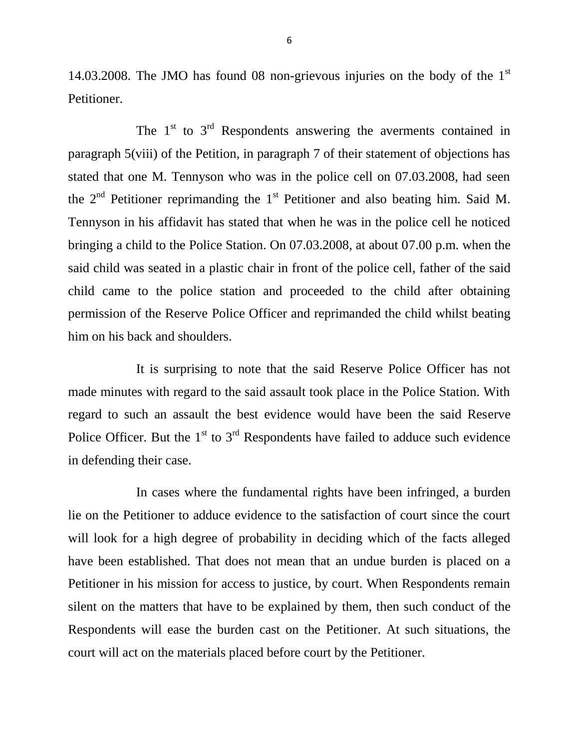14.03.2008. The JMO has found 08 non-grievous injuries on the body of the 1st Petitioner.

The  $1<sup>st</sup>$  to  $3<sup>rd</sup>$  Respondents answering the averments contained in paragraph 5(viii) of the Petition, in paragraph 7 of their statement of objections has stated that one M. Tennyson who was in the police cell on 07.03.2008, had seen the  $2<sup>nd</sup>$  Petitioner reprimanding the  $1<sup>st</sup>$  Petitioner and also beating him. Said M. Tennyson in his affidavit has stated that when he was in the police cell he noticed bringing a child to the Police Station. On 07.03.2008, at about 07.00 p.m. when the said child was seated in a plastic chair in front of the police cell, father of the said child came to the police station and proceeded to the child after obtaining permission of the Reserve Police Officer and reprimanded the child whilst beating him on his back and shoulders.

It is surprising to note that the said Reserve Police Officer has not made minutes with regard to the said assault took place in the Police Station. With regard to such an assault the best evidence would have been the said Reserve Police Officer. But the  $1<sup>st</sup>$  to  $3<sup>rd</sup>$  Respondents have failed to adduce such evidence in defending their case.

In cases where the fundamental rights have been infringed, a burden lie on the Petitioner to adduce evidence to the satisfaction of court since the court will look for a high degree of probability in deciding which of the facts alleged have been established. That does not mean that an undue burden is placed on a Petitioner in his mission for access to justice, by court. When Respondents remain silent on the matters that have to be explained by them, then such conduct of the Respondents will ease the burden cast on the Petitioner. At such situations, the court will act on the materials placed before court by the Petitioner.